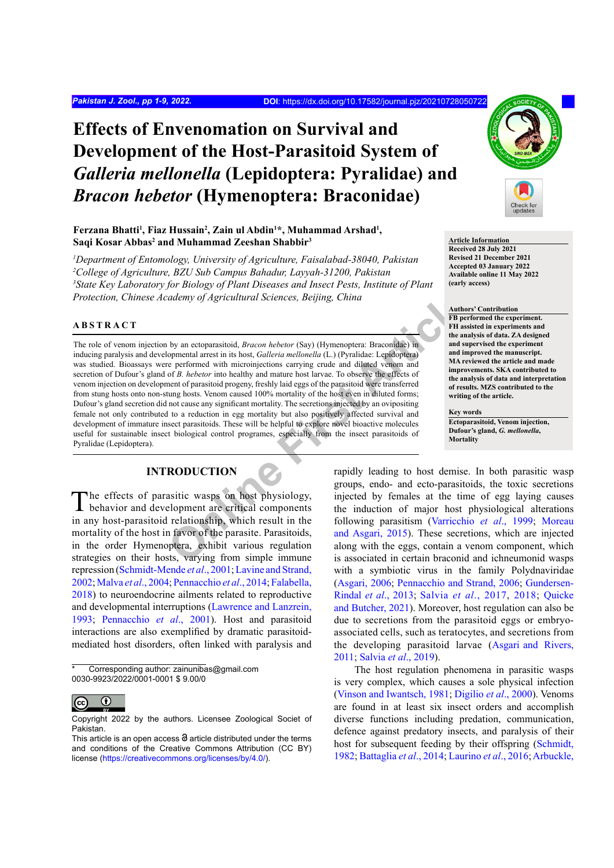# **Effects of Envenomation on Survival and Development of the Host-Parasitoid System of**  *Galleria mellonella* **(Lepidoptera: Pyralidae) and**  *Bracon hebetor* **(Hymenoptera: Braconidae)**

## Ferzana Bhatti<sup>1</sup>, Fiaz Hussain<sup>2</sup>, Zain ul Abdin<sup>1\*</sup>, Muhammad Arshad<sup>1</sup>, **Saqi Kosar Abbas2 and Muhammad Zeeshan Shabbir3**

 *Department of Entomology, University of Agriculture, Faisalabad-38040, Pakistan College of Agriculture, BZU Sub Campus Bahadur, Layyah-31200, Pakistan State Key Laboratory for Biology of Plant Diseases and Insect Pests, Institute of Plant Protection, Chinese Academy of Agricultural Sciences, Beijing, China*

## **ABSTRACT**

Considering the Strain Sciences, Beijing, China<br>
by an ectoparasitoid, *Bracon hebetor* (Say) (Hymenoptera: Bracondae) in<br>
openental arrest in its host, *Galleria mellonela* (L.) (Pyraliac: Lepidoptera)<br>
ceperformed with m The role of venom injection by an ectoparasitoid, *Bracon hebetor* (Say) (Hymenoptera: Braconidae) in inducing paralysis and developmental arrest in its host, *Galleria mellonella* (L.) (Pyralidae: Lepidoptera) was studied. Bioassays were performed with microinjections carrying crude and diluted venom and secretion of Dufour's gland of *B. hebetor* into healthy and mature host larvae. To observe the effects of venom injection on development of parasitoid progeny, freshly laid eggs of the parasitoid were transferred from stung hosts onto non-stung hosts. Venom caused 100% mortality of the host even in diluted forms; Dufour's gland secretion did not cause any significant mortality. The secretions injected by an ovipositing female not only contributed to a reduction in egg mortality but also positively affected survival and development of immature insect parasitoids. These will be helpful to explore novel bioactive molecules useful for sustainable insect biological control programes, especially from the insect parasitoids of Pyralidae (Lepidoptera).

# **INTRODUCTION**

The effects of parasitic wasps on host physiology, behavior and development are critical components in any host-parasitoid relationship, which result in the mortality of the host in favor of the parasite. Parasitoids, in the order Hymenoptera, exhibit various regulation strategies on their hosts, varying from simple immune repression (Schmidt-Mende *et al*., 2001; [Lavine and Strand,](#page-6-0) [2002;](#page-6-0) [Malva](#page-6-1) *et al*., 2004; [Pennacchio](#page-7-0) *et al*., 2014; [Falabella,](#page-6-2) [2018\)](#page-6-2) to neuroendocrine ailments related to reproductive and developmental interruptions [\(Lawrence and Lanzrein,](#page-6-3) [1993;](#page-6-3) [Pennacchio](#page-7-1) *et al*., 2001). Host and parasitoid interactions are also exemplified by dramatic parasitoidmediated host disorders, often linked with paralysis and

Corresponding author: zainunibas@gmail.com 0030-9923/2022/0001-0001 \$ 9.00/0



Copyright 2022 by the authors. Licensee Zoological Societ of Pakistan.



#### **Article Information**

**Received 28 July 2021 Revised 21 December 2021 Accepted 03 January 2022 Available online 11 May 2022 (early access)**

### **Authors' Contribution**

**FB performed the experiment. FH assisted in experiments and the analysis of data. ZA designed and supervised the experiment and improved the manuscript. MA reviewed the article and made improvements. SKA contributed to the analysis of data and interpretation of results. MZS contributed to the writing of the article.**

**Key words Ectoparasitoid, Venom injection, Dufour's gland,** *G. mellonella***, Mortality**

rapidly leading to host demise. In both parasitic wasp groups, endo- and ecto-parasitoids, the toxic secretions injected by females at the time of egg laying causes the induction of major host physiological alterations following parasitism (Varricchio *et al*., 1999; [Moreau](#page-7-2) and Asgari, 2015). These secretions, which are injected along with the eggs, contain a venom component, which is associated in certain braconid and ichneumonid wasps with a symbiotic virus in the family Polydnaviridae [\(Asgari, 2006;](#page-5-0) [Pennacchio and Strand, 2006;](#page-7-3) [Gundersen-](#page-6-4)[Rindal](#page-6-4) *et al*., 2013; Salvia *et al*[., 2017,](#page-7-4) [2018](#page-7-5); [Quicke](#page-7-6) [and Butcher, 2021](#page-7-6)). Moreover, host regulation can also be due to secretions from the parasitoid eggs or embryoassociated cells, such as teratocytes, and secretions from the developing parasitoid larvae (Asgari [and Rivers,](#page-5-1) [2011;](#page-5-1) [Salvia](#page-7-7) *et al*., 2019).

The host regulation phenomena in parasitic wasps is very complex, which causes a sole physical infection (Vinson and Iwantsch, 1981; [Digilio](#page-6-5) *et al*., 2000). Venoms are found in at least six insect orders and accomplish diverse functions including predation, communication, defence against predatory insects, and paralysis of their host for subsequent feeding by their offspring ([Schmidt,](#page-8-0) [1982;](#page-8-0) [Battaglia](#page-5-2) *et al*., 2014; [Laurino](#page-6-6) *et al*., 2016; [Arbuckle,](#page-5-3)

This article is an open access  $\Theta$  article distributed under the terms and conditions of the Creative Commons Attribution (CC BY) license (https://creativecommons.org/licenses/by/4.0/).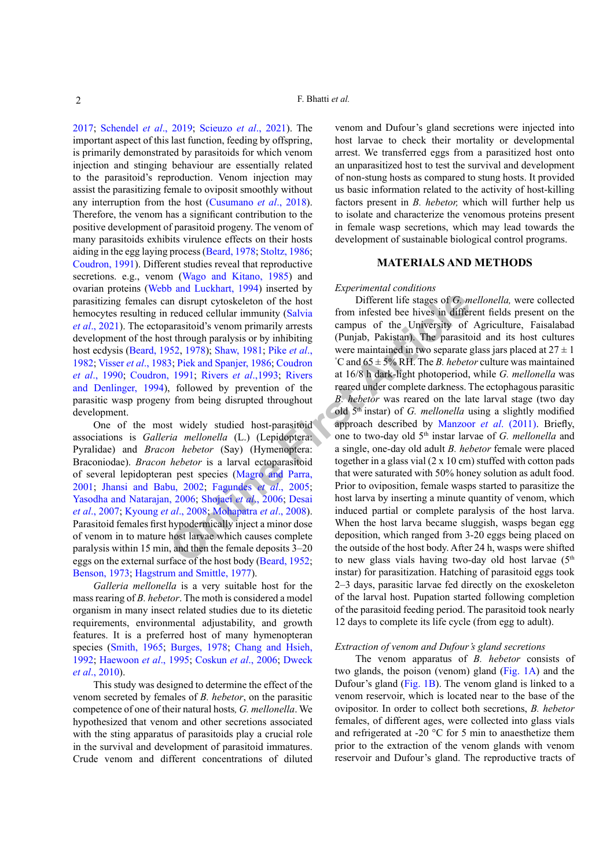[2017;](#page-5-3) [Schendel](#page-8-1) *et al*., 2019; Scieuzo *et al*., 2021). The important aspect of this last function, feeding by offspring, is primarily demonstrated by parasitoids for which venom injection and stinging behaviour are essentially related to the parasitoid's reproduction. Venom injection may assist the parasitizing female to oviposit smoothly without any interruption from the host [\(Cusumano](#page-5-4) *et al*., 2018). Therefore, the venom has a significant contribution to the positive development of parasitoid progeny. The venom of many parasitoids exhibits virulence effects on their hosts aiding in the egg laying process ([Beard, 1978;](#page-5-5) Stoltz, 1986; [Coudron, 1991\)](#page-5-6). Different studies reveal that reproductive secretions. e.g., venom (Wago and Kitano, 1985) and ovarian proteins (Webb and Luckhart, 1994) inserted by parasitizing females can disrupt cytoskeleton of the host hemocytes resulting in reduced cellular immunity (Salvia *et al*[., 2021\)](#page-8-2). The ectoparasitoid's venom primarily arrests development of the host through paralysis or by inhibiting host ecdysis [\(Beard, 1952](#page-5-7), 1978); Shaw, 1981; Pike *et al*., [1982;](#page-7-8) Visser *et al*., 1983; Piek and Spanjer, 1986; Coudron *et al*[., 1990](#page-5-8); [Coudron, 1991](#page-5-6); Rivers *et al*.,1993; Rivers [and Denlinger, 1994\)](#page-7-11), followed by prevention of the parasitic wasp progeny from being disrupted throughout development.

One of the most widely studied host-parasitoid associations is *Galleria mellonella* (L.) (Lepidoptera: Pyralidae) and *Bracon hebetor* (Say) (Hymenoptera: Braconiodae). *Bracon hebetor* is a larval ectoparasitoid of several lepidopteran pest species (Magro and Parra, [2001;](#page-6-7) [Jhansi and Babu, 2002;](#page-6-8) Fagundes *et al*., 2005; Yasodha and Natarajan, 2006; Shojaei *et al*., 2006; Desai *et al*[., 2007;](#page-6-10) Kyoung *et al*., 2008; Mohapatra *et al*., 2008). Parasitoid females first hypodermically inject a minor dose of venom in to mature host larvae which causes complete paralysis within 15 min, and then the female deposits 3–20 eggs on the external surface of the host body (Beard, 1952; [Benson, 1973;](#page-5-9) [Hagstrum and Smittle, 1977\)](#page-6-12).

*Galleria mellonella* is a very suitable host for the mass rearing of *B. hebetor*. The moth is considered a model organism in many insect related studies due to its dietetic requirements, environmental adjustability, and growth features. It is a preferred host of many hymenopteran species (Smith, 1965; [Burges, 1978;](#page-5-10) [Chang and Hsieh,](#page-5-11) [1992;](#page-5-11) [Haewoon](#page-6-13) *et al*., 1995; [Coskun](#page-5-12) *et al*., 2006; Dweck *et al*., 2010).

This study was designed to determine the effect of the venom secreted by females of *B. hebetor*, on the parasitic competence of one of their natural hosts*, G. mellonella*. We hypothesized that venom and other secretions associated with the sting apparatus of parasitoids play a crucial role in the survival and development of parasitoid immatures. Crude venom and different concentrations of diluted

venom and Dufour's gland secretions were injected into host larvae to check their mortality or developmental arrest. We transferred eggs from a parasitized host onto an unparasitized host to test the survival and development of non-stung hosts as compared to stung hosts. It provided us basic information related to the activity of host-killing factors present in *B. hebetor,* which will further help us to isolate and characterize the venomous proteins present in female wasp secretions, which may lead towards the development of sustainable biological control programs.

#### **MATERIALS AND METHODS**

#### *Experimental conditions*

**C** i[n](#page-6-9) disrupt cytoskeleton of th[e](#page-6-7) host<br>
Different life stages of *G*, m<br>
reduced cellular immunity (Salvia from infested bee hives in different<br>
article through paralysis or by inhibiting (Punjab, Pakistan). The parasiti Different life stages of *G. mellonella,* were collected from infested bee hives in different fields present on the campus of the University of Agriculture, Faisalabad (Punjab, Pakistan). The parasitoid and its host cultures were maintained in two separate glass jars placed at  $27 \pm 1$ ° C and 65 ± 5% RH. The *B. hebetor* culture was maintained at 16/8 h dark-light photoperiod, while *G. mellonella* was reared under complete darkness. The ectophagous parasitic *B. hebetor* was reared on the late larval stage (two day old 5th instar) of *G. mellonella* using a slightly modified approach described by Manzoor *et al*. (2011). Briefly, one to two-day old 5th instar larvae of *G. mellonella* and a single, one-day old adult *B. hebetor* female were placed together in a glass vial  $(2 \times 10 \text{ cm})$  stuffed with cotton pads that were saturated with 50% honey solution as adult food. Prior to oviposition, female wasps started to parasitize the host larva by inserting a minute quantity of venom, which induced partial or complete paralysis of the host larva. When the host larva became sluggish, wasps began egg deposition, which ranged from 3-20 eggs being placed on the outside of the host body. After 24 h, wasps were shifted to new glass vials having two-day old host larvae  $(5<sup>th</sup>)$ instar) for parasitization. Hatching of parasitoid eggs took 2–3 days, parasitic larvae fed directly on the exoskeleton of the larval host. Pupation started following completion of the parasitoid feeding period. The parasitoid took nearly 12 days to complete its life cycle (from egg to adult).

#### *Extraction of venom and Dufour's gland secretions*

The venom apparatus of *B. hebetor* consists of two glands, the poison (venom) gland [\(Fig. 1A](#page-2-0)) and the Dufour's gland [\(Fig. 1B](#page-2-0)). The venom gland is linked to a venom reservoir, which is located near to the base of the ovipositor. In order to collect both secretions, *B. hebetor*  females, of different ages, were collected into glass vials and refrigerated at -20 °C for 5 min to anaesthetize them prior to the extraction of the venom glands with venom reservoir and Dufour's gland. The reproductive tracts of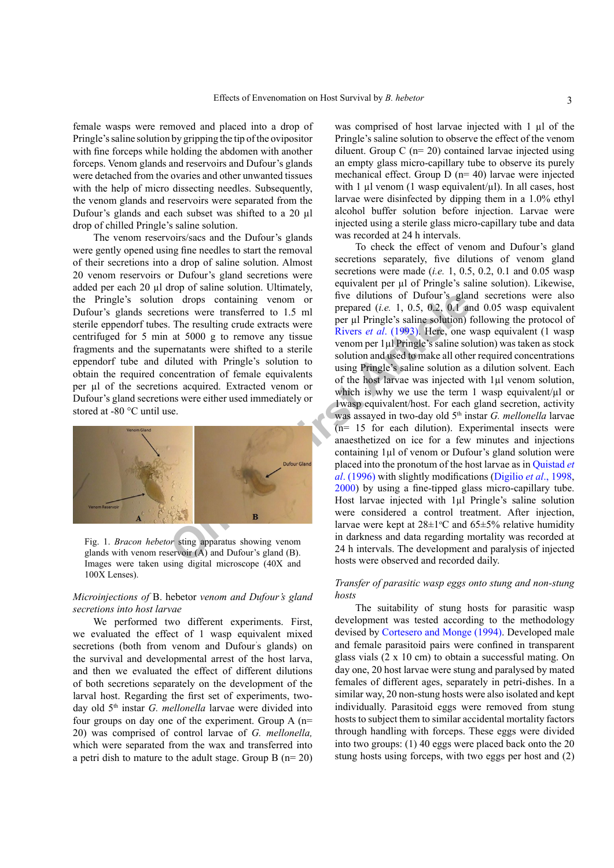female wasps were removed and placed into a drop of Pringle's saline solution by gripping the tip of the ovipositor with fine forceps while holding the abdomen with another forceps. Venom glands and reservoirs and Dufour's glands were detached from the ovaries and other unwanted tissues with the help of micro dissecting needles. Subsequently, the venom glands and reservoirs were separated from the Dufour's glands and each subset was shifted to a 20 µl drop of chilled Pringle's saline solution.

The venom reservoirs/sacs and the Dufour's glands were gently opened using fine needles to start the removal of their secretions into a drop of saline solution. Almost 20 venom reservoirs or Dufour's gland secretions were added per each 20 µl drop of saline solution. Ultimately, the Pringle's solution drops containing venom or Dufour's glands secretions were transferred to 1.5 ml sterile eppendorf tubes. The resulting crude extracts were centrifuged for 5 min at 5000 g to remove any tissue fragments and the supernatants were shifted to a sterile eppendorf tube and diluted with Pringle's solution to obtain the required concentration of female equivalents per µl of the secretions acquired. Extracted venom or Dufour's gland secretions were either used immediately or stored at -80 °C until use.



Fig. 1. *Bracon hebetor* sting apparatus showing venom glands with venom reservoir (A) and Dufour's gland (B). Images were taken using digital microscope (40X and 100X Lenses).

## <span id="page-2-0"></span>*Microinjections of* B. hebetor *venom and Dufour's gland secretions into host larvae*

We performed two different experiments. First, we evaluated the effect of 1 wasp equivalent mixed secretions (both from venom and Dufour's glands) on the survival and developmental arrest of the host larva, and then we evaluated the effect of different dilutions of both secretions separately on the development of the larval host. Regarding the first set of experiments, twoday old 5th instar *G. mellonella* larvae were divided into four groups on day one of the experiment. Group A (n= 20) was comprised of control larvae of *G. mellonella,* which were separated from the wax and transferred into a petri dish to mature to the adult stage. Group B (n= 20)

was comprised of host larvae injected with 1 µl of the Pringle's saline solution to observe the effect of the venom diluent. Group C ( $n=20$ ) contained larvae injected using an empty glass micro-capillary tube to observe its purely mechanical effect. Group D (n= 40) larvae were injected with 1  $\mu$ l venom (1 wasp equivalent/ $\mu$ l). In all cases, host larvae were disinfected by dipping them in a 1.0% ethyl alcohol buffer solution before injection. Larvae were injected using a sterile glass micro-capillary tube and data was recorded at 24 h intervals.

**ONDERGOND THE CONSULTER ARRAM CONDUCE SETTING THE CONDUCE AREA CONDISCERT ARE CONDUCED AND ARRAM CONDISCERT ARRAM CONDUCED ARRAM CONDISCERT ARRAM CONDUCED ARRAM CONDUCED ARRAM CONDUCED ARRAM CONDUCED ARRAM CONDUCED ARRAM** To check the effect of venom and Dufour's gland secretions separately, five dilutions of venom gland secretions were made (*i.e.* 1, 0.5, 0.2, 0.1 and 0.05 wasp equivalent per µl of Pringle's saline solution). Likewise, five dilutions of Dufour's gland secretions were also prepared (*i.e.* 1, 0.5, 0.2, 0.1 and 0.05 wasp equivalent per µl Pringle's saline solution) following the protocol of Rivers *et al*. (1993). Here, one wasp equivalent (1 wasp venom per 1µl Pringle's saline solution) was taken as stock solution and used to make all other required concentrations using Pringle's saline solution as a dilution solvent. Each of the host larvae was injected with 1µl venom solution, which is why we use the term 1 wasp equivalent/ $\mu$ l or 1wasp equivalent/host. For each gland secretion, activity was assayed in two-day old 5<sup>th</sup> instar *G. mellonella* larvae (n= 15 for each dilution). Experimental insects were anaesthetized on ice for a few minutes and injections containing 1µl of venom or Dufour's gland solution were placed into the pronotum of the host larvae as in [Quistad](#page-7-14) *et al*. (1996) with slightly modifications ([Digilio](#page-6-14) *et al*., 1998, 2000) by using a fine-tipped glass micro-capillary tube. Host larvae injected with 1µl Pringle's saline solution were considered a control treatment. After injection, larvae were kept at  $28 \pm 1$ °C and  $65 \pm 5$ % relative humidity in darkness and data regarding mortality was recorded at 24 h intervals. The development and paralysis of injected hosts were observed and recorded daily.

## *Transfer of parasitic wasp eggs onto stung and non-stung hosts*

The suitability of stung hosts for parasitic wasp development was tested according to the methodology devised by [Cortesero and Monge \(1994\).](#page-5-13) Developed male and female parasitoid pairs were confined in transparent glass vials (2 x 10 cm) to obtain a successful mating. On day one, 20 host larvae were stung and paralysed by mated females of different ages, separately in petri-dishes. In a similar way, 20 non-stung hosts were also isolated and kept individually. Parasitoid eggs were removed from stung hosts to subject them to similar accidental mortality factors through handling with forceps. These eggs were divided into two groups: (1) 40 eggs were placed back onto the 20 stung hosts using forceps, with two eggs per host and (2)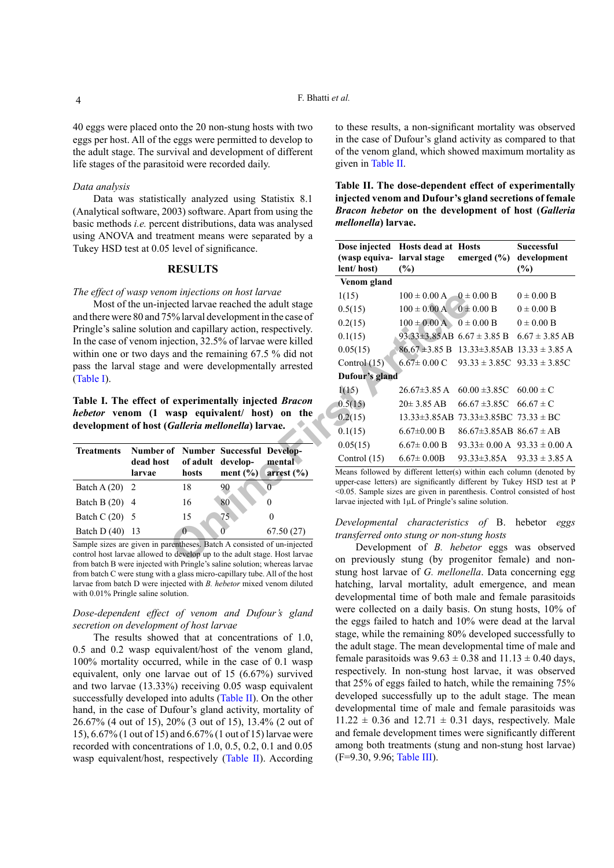40 eggs were placed onto the 20 non-stung hosts with two eggs per host. All of the eggs were permitted to develop to the adult stage. The survival and development of different life stages of the parasitoid were recorded daily.

#### *Data analysis*

Data was statistically analyzed using Statistix 8.1 (Analytical software, 2003) software. Apart from using the basic methods *i.e.* percent distributions, data was analysed using ANOVA and treatment means were separated by a Tukey HSD test at 0.05 level of significance.

## **RESULTS**

## *The effect of wasp venom injections on host larvae*

Most of the un-injected larvae reached the adult stage and there were 80 and 75% larval development in the case of Pringle's saline solution and capillary action, respectively. In the case of venom injection, 32.5% of larvae were killed within one or two days and the remaining 67.5 % did not pass the larval stage and were developmentally arrested (Table I).

**Table I. The effect of experimentally injected** *Bracon hebetor* **venom (1 wasp equivalent/ host) on the development of host (***Galleria mellonella***) larvae.**

| <b>Treatments</b> | <b>Number of Number Successful Develop-</b><br>dead host<br>larvae | hosts | of adult develop- | mental<br>ment $(\% )$ arrest $(\% )$ |
|-------------------|--------------------------------------------------------------------|-------|-------------------|---------------------------------------|
| Batch A $(20)$ 2  |                                                                    | 18    | 90                |                                       |
| Batch B (20) 4    |                                                                    | 16    | 80                |                                       |
| Batch C $(20)$ 5  |                                                                    | 15    | 75                |                                       |
| Batch $D(40)$     |                                                                    | O     |                   | 67.50(27)                             |

Sample sizes are given in parentheses. Batch A consisted of un-injected control host larvae allowed to develop up to the adult stage. Host larvae from batch B were injected with Pringle's saline solution; whereas larvae from batch C were stung with a glass micro-capillary tube. All of the host larvae from batch D were injected with *B. hebetor* mixed venom diluted with  $0.01\%$  Pringle saline solution.

## *Dose-dependent effect of venom and Dufour's gland secretion on development of host larvae*

The results showed that at concentrations of 1.0, 0.5 and 0.2 wasp equivalent/host of the venom gland, 100% mortality occurred, while in the case of 0.1 wasp equivalent, only one larvae out of 15 (6.67%) survived and two larvae (13.33%) receiving 0.05 wasp equivalent successfully developed into adults (Table II). On the other hand, in the case of Dufour's gland activity, mortality of 26.67% (4 out of 15), 20% (3 out of 15), 13.4% (2 out of 15), 6.67% (1 out of 15) and 6.67% (1 out of 15) larvae were recorded with concentrations of 1.0, 0.5, 0.2, 0.1 and 0.05 wasp equivalent/host, respectively (Table II). According

to these results, a non-significant mortality was observed in the case of Dufour's gland activity as compared to that of the venom gland, which showed maximum mortality as given in Table II.

| Table II. The dose-dependent effect of experimentally      |
|------------------------------------------------------------|
| injected venom and Dufour's gland secretions of female     |
| <b>Bracon hebetor on the development of host (Galleria</b> |
| <i>mellonella</i> ) larvae.                                |

| aunem means were separated by a                                                                                                             |                                                                                                                                                          |                                   |                                                                                 |                                                         |  |
|---------------------------------------------------------------------------------------------------------------------------------------------|----------------------------------------------------------------------------------------------------------------------------------------------------------|-----------------------------------|---------------------------------------------------------------------------------|---------------------------------------------------------|--|
| level of significance.                                                                                                                      |                                                                                                                                                          | Dose injected Hosts dead at Hosts |                                                                                 | <b>Successful</b>                                       |  |
| <b>RESULTS</b>                                                                                                                              | (wasp equiva-larval stage<br>lent/host)                                                                                                                  | $(\%)$                            | emerged $(\% )$                                                                 | development<br>(%)                                      |  |
|                                                                                                                                             | Venom gland                                                                                                                                              |                                   |                                                                                 |                                                         |  |
| om injections on host larvae                                                                                                                | 1(15)                                                                                                                                                    | $100 \pm 0.00$ A $-0 \pm 0.00$ B  |                                                                                 | $0 \pm 0.00 B$                                          |  |
| ected larvae reached the adult stage                                                                                                        | 0.5(15)                                                                                                                                                  | $100 \pm 0.00$ A $0 \pm 0.00$ B   |                                                                                 | $0 \pm 0.00 B$                                          |  |
| 5% larval development in the case of                                                                                                        | 0.2(15)                                                                                                                                                  | $100 \pm 0.00$ A $0 \pm 0.00$ B   |                                                                                 | $0 \pm 0.00 B$                                          |  |
| n and capillary action, respectively.<br>jection, 32.5% of larvae were killed                                                               | 0.1(15)                                                                                                                                                  | $93.33\pm3.85$ AB $6.67\pm3.85$ B |                                                                                 | $6.67 \pm 3.85$ AB                                      |  |
| and the remaining 67.5 % did not                                                                                                            | 0.05(15)                                                                                                                                                 |                                   |                                                                                 | $86.67 \pm 3.85 B$ 13.33 $\pm$ 3.85AB 13.33 $\pm$ 3.85A |  |
| and were developmentally arrested                                                                                                           | Control $(15)$                                                                                                                                           |                                   | $6.67 \pm 0.00 \text{ C}$ $93.33 \pm 3.85 \text{ C}$ $93.33 \pm 3.85 \text{ C}$ |                                                         |  |
|                                                                                                                                             | Dufour's gland                                                                                                                                           |                                   |                                                                                 |                                                         |  |
|                                                                                                                                             | 1(15)                                                                                                                                                    | $26.67\pm3.85$ A                  | $60.00 \pm 3.85C$ $60.00 \pm C$                                                 |                                                         |  |
| experimentally injected Bracon                                                                                                              | 0.5(15)                                                                                                                                                  | $20 \pm 3.85$ AB                  | $66.67 \pm 3.85C$ $66.67 \pm C$                                                 |                                                         |  |
| wasp equivalent/ host) on the                                                                                                               | 0.2(15)                                                                                                                                                  |                                   | $13.33\pm3.85$ AB $73.33\pm3.85$ BC $73.33\pm$ BC                               |                                                         |  |
| Galleria mellonella) larvae.                                                                                                                | 0.1(15)                                                                                                                                                  | $6.67 \pm 0.00 B$                 | $86.67 \pm 3.85$ AB $86.67 \pm AB$                                              |                                                         |  |
| of Number Successful Develop-                                                                                                               | 0.05(15)                                                                                                                                                 | $6.67 \pm 0.00 B$                 |                                                                                 | $93.33 \pm 0.00 \text{ A}$ $93.33 \pm 0.00 \text{ A}$   |  |
| of adult develop-<br>mental                                                                                                                 | Control $(15)$                                                                                                                                           | $6.67 \pm 0.00B$                  |                                                                                 | $93.33\pm3.85$ A $93.33\pm3.85$ A                       |  |
| ment $(\% )$<br>hosts<br>arrest $(\% )$                                                                                                     | Means followed by different letter(s) within each column (denoted by                                                                                     |                                   |                                                                                 |                                                         |  |
| 18<br>90<br>$\overline{0}$                                                                                                                  | upper-case letters) are significantly different by Tukey HSD test at P<br>$\leq 0.05$ . Sample sizes are given in parenthesis. Control consisted of host |                                   |                                                                                 |                                                         |  |
| 80<br>16<br>$\theta$                                                                                                                        | larvae injected with $1 \mu L$ of Pringle's saline solution.                                                                                             |                                   |                                                                                 |                                                         |  |
| 75<br>15<br>$\theta$                                                                                                                        |                                                                                                                                                          |                                   |                                                                                 |                                                         |  |
| $\Omega$<br>67.50(27)                                                                                                                       | Developmental characteristics of B. hebetor<br>eggs                                                                                                      |                                   |                                                                                 |                                                         |  |
| rentheses. Batch A consisted of un-injected<br>o develop up to the adult stage. Host larvae<br>ith Drinala's soling solution; whoroos lowpo | transferred onto stung or non-stung hosts<br>Development of <i>B. hebetor</i> eggs was observed<br>on previously stung (by progenitor female) and non-   |                                   |                                                                                 |                                                         |  |

## *Developmental characteristics of* B. hebetor *eggs transferred onto stung or non-stung hosts*

Development of *B. hebetor* eggs was observed on previously stung (by progenitor female) and nonstung host larvae of *G. mellonella*. Data concerning egg hatching, larval mortality, adult emergence, and mean developmental time of both male and female parasitoids were collected on a daily basis. On stung hosts, 10% of the eggs failed to hatch and 10% were dead at the larval stage, while the remaining 80% developed successfully to the adult stage. The mean developmental time of male and female parasitoids was  $9.63 \pm 0.38$  and  $11.13 \pm 0.40$  days, respectively. In non-stung host larvae, it was observed that 25% of eggs failed to hatch, while the remaining 75% developed successfully up to the adult stage. The mean developmental time of male and female parasitoids was  $11.22 \pm 0.36$  and  $12.71 \pm 0.31$  days, respectively. Male and female development times were significantly different among both treatments (stung and non-stung host larvae) (F=9.30, 9.96; Table III).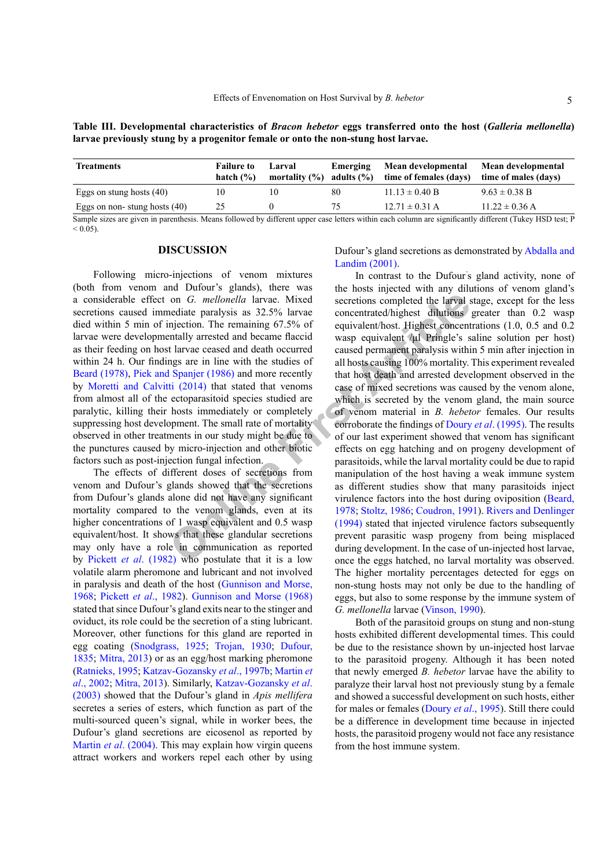**Table III. Developmental characteristics of** *Bracon hebetor* **eggs transferred onto the host (***Galleria mellonella***) larvae previously stung by a progenitor female or onto the non-stung host larvae.**

| <b>Treatments</b>            | <b>Failure to</b><br>hatch $(\%)$ | Larval<br>mortality $(\%)$ | Emerging<br>adults $(\% )$ | Mean developmental<br>time of females (days) | Mean developmental<br>time of males (days)                |
|------------------------------|-----------------------------------|----------------------------|----------------------------|----------------------------------------------|-----------------------------------------------------------|
| Eggs on stung hosts (40)     | 10                                | 10                         | 80                         | $11.13 \pm 0.40$ B                           | $9.63 \pm 0.38$ B                                         |
| Eggs on non-stung hosts (40) | 25                                |                            | 75                         | $12.71 \pm 0.31$ A                           | $11.22 \pm 0.36$ A                                        |
| $\sim$ $\sim$ $\sim$         | 0.11                              |                            |                            | $\sim$ $\sim$ $\sim$ $\sim$ $\sim$           | $\mathbf{v}$<br>$\sim$ $\sim$ $\sim$ $\sim$ $\sim$ $\sim$ |

Sample sizes are given in parenthesis. Means followed by different upper case letters within each column are significantly different (Tukey HSD test; P  $< 0.05$ ).

# **DISCUSSION**

Following micro-injections of venom mixtures (both from venom and Dufour's glands), there was a considerable effect on *G. mellonella* larvae. Mixed secretions caused immediate paralysis as 32.5% larvae died within 5 min of injection. The remaining 67.5% of larvae were developmentally arrested and became flaccid as their feeding on host larvae ceased and death occurred within 24 h. Our findings are in line with the studies of [Beard \(1978\)](#page-5-5), [Piek and Spanjer \(1986\)](#page-7-9) and more recently by [Moretti and Calvitti \(2014\)](#page-7-15) that stated that venoms from almost all of the ectoparasitoid species studied are paralytic, killing their hosts immediately or completely suppressing host development. The small rate of mortality observed in other treatments in our study might be due to the punctures caused by micro-injection and other biotic factors such as post-injection fungal infection.

The effects of different doses of secretions from venom and Dufour's glands showed that the secretions from Dufour's glands alone did not have any significant mortality compared to the venom glands, even at its higher concentrations of 1 wasp equivalent and 0.5 wasp equivalent/host. It shows that these glandular secretions may only have a role in communication as reported by Pickett *et al*[. \(1982\)](#page-7-16) who postulate that it is a low volatile alarm pheromone and lubricant and not involved in paralysis and death of the host ([Gunnison and Morse,](#page-6-15) [1968;](#page-6-15) [Pickett](#page-7-16) *et al*., 1982). [Gunnison and Morse \(1968\)](#page-6-15) stated that since Dufour's gland exits near to the stinger and oviduct, its role could be the secretion of a sting lubricant. Moreover, other functions for this gland are reported in egg coating (Snodgrass, 1925; Trojan, 1930; [Dufour,](#page-6-16) [1835;](#page-6-16) [Mitra, 2013](#page-7-17)) or as an egg/host marking pheromone [\(Ratnieks, 1995;](#page-7-18) [Katzav-Gozansky](#page-6-17) *et al*., 1997b; Martin *et al*., 2002; [Mitra, 2013\)](#page-7-17). Similarly, [Katzav-Gozansky](#page-6-18) *et al*. [\(2003\)](#page-6-18) showed that the Dufour's gland in *Apis mellifera*  secretes a series of esters, which function as part of the multi-sourced queen's signal, while in worker bees, the Dufour's gland secretions are eicosenol as reported by Martin *et al.* (2004). This may explain how virgin queens attract workers and workers repel each other by using Dufour's gland secretions as demonstrated by [Abdalla and](#page-5-14) [Landim \(2001\)](#page-5-14).

on *G. mellonella* larvae. Mixed<br>
secretions completed the larval secretions completed the larval secretions completed the larval secretion. The remaining 67.5% of<br>
equivalent/host. Highest concentrated/highest dilutions<br> In contrast to the Dufour' s gland activity, none of the hosts injected with any dilutions of venom gland's secretions completed the larval stage, except for the less concentrated/highest dilutions greater than 0.2 wasp equivalent/host. Highest concentrations (1.0, 0.5 and 0.2 wasp equivalent /μl Pringle's saline solution per host) caused permanent paralysis within 5 min after injection in all hosts causing 100% mortality. This experiment revealed that host death and arrested development observed in the case of mixed secretions was caused by the venom alone, which is secreted by the venom gland, the main source of venom material in *B. hebetor* females. Our results corroborate the findings of Doury *et al*. (1995). The results of our last experiment showed that venom has significant effects on egg hatching and on progeny development of parasitoids, while the larval mortality could be due to rapid manipulation of the host having a weak immune system as different studies show that many parasitoids inject virulence factors into the host during oviposition ([Beard,](#page-5-5) 1978; Stoltz, 1986; Coudron, 1991). [Rivers and Denlinger](#page-7-11) (1994) stated that injected virulence factors subsequently prevent parasitic wasp progeny from being misplaced during development. In the case of un-injected host larvae, once the eggs hatched, no larval mortality was observed. The higher mortality percentages detected for eggs on non-stung hosts may not only be due to the handling of eggs, but also to some response by the immune system of *G. mellonella* larvae (Vinson, 1990).

> Both of the parasitoid groups on stung and non-stung hosts exhibited different developmental times. This could be due to the resistance shown by un-injected host larvae to the parasitoid progeny. Although it has been noted that newly emerged *B. hebetor* larvae have the ability to paralyze their larval host not previously stung by a female and showed a successful development on such hosts, either for males or females [\(Doury](#page-6-19) *et al*., 1995). Still there could be a difference in development time because in injected hosts, the parasitoid progeny would not face any resistance from the host immune system.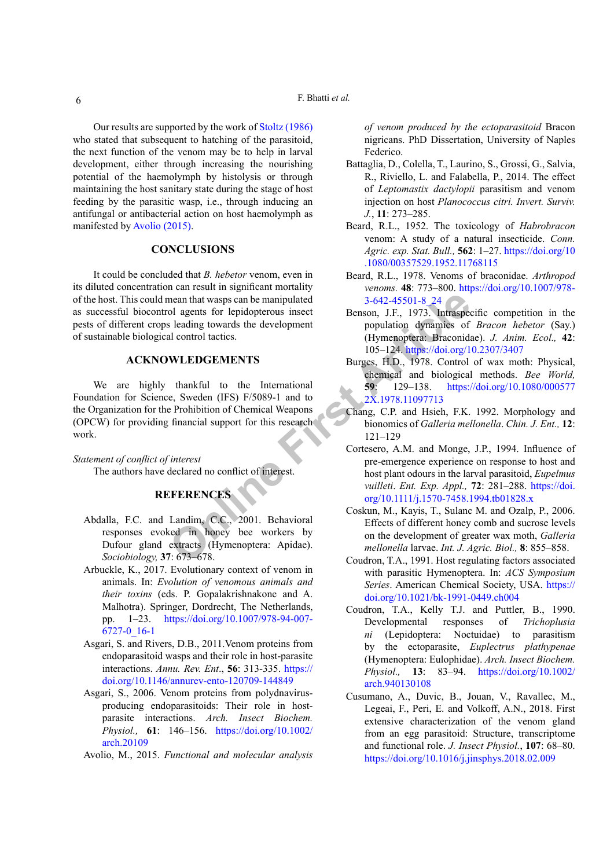Our results are supported by the work of Stoltz (1986) who stated that subsequent to hatching of the parasitoid, the next function of the venom may be to help in larval development, either through increasing the nourishing potential of the haemolymph by histolysis or through maintaining the host sanitary state during the stage of host feeding by the parasitic wasp, i.e., through inducing an antifungal or antibacterial action on host haemolymph as manifested by [Avolio \(2015\)](#page-5-15).

## **CONCLUSIONS**

It could be concluded that *B. hebetor* venom, even in its diluted concentration can result in significant mortality of the host. This could mean that wasps can be manipulated as successful biocontrol agents for lepidopterous insect pests of different crops leading towards the development of sustainable biological control tactics.

## **ACKNOWLEDGEMENTS**

**EXEMENCES**<br> **Online First** A<br> **Online First** A<br> **Online First** A<br> **Online First** A<br> **Online First** A<br> **ONLEDGEMENTS**<br> **ONLE COMENTS**<br> **ONLE COMENTS**<br> **ONLE COMENTS**<br> **ONLE COMENTS**<br> **ONLE COMENTS**<br> **ONLE COMENTS**<br> **ONLE** We are highly thankful to the International Foundation for Science, Sweden (IFS) F/5089-1 and to the Organization for the Prohibition of Chemical Weapons (OPCW) for providing financial support for this research work.

*Statement of conflict of interest*

The authors have declared no conflict of interest.

# **REFERENCES**

- <span id="page-5-14"></span>Abdalla, F.C. and Landim, C.C., 2001. Behavioral responses evoked in honey bee workers by Dufour gland extracts (Hymenoptera: Apidae). *Sociobiology,* **37**: 673–678.
- <span id="page-5-3"></span>Arbuckle, K., 2017. Evolutionary context of venom in animals. In: *Evolution of venomous animals and their toxins* (eds. P. Gopalakrishnakone and A. Malhotra). Springer, Dordrecht, The Netherlands, pp. 1–23. [https://doi.org/10.1007/978-94-007-](https://doi.org/10.1007/978-94-007-6727-0_16-1) [6727-0\\_16-1](https://doi.org/10.1007/978-94-007-6727-0_16-1)
- <span id="page-5-1"></span>Asgari, S. and Rivers, D.B., 2011.Venom proteins from endoparasitoid wasps and their role in host-parasite interactions. *Annu. Rev. Ent*., **56**: 313-335. [https://](https://doi.org/10.1146/annurev-ento-120709-144849) [doi.org/10.1146/annurev-ento-120709-144849](https://doi.org/10.1146/annurev-ento-120709-144849)
- <span id="page-5-0"></span>Asgari, S., 2006. Venom proteins from polydnavirusproducing endoparasitoids: Their role in hostparasite interactions. *Arch. Insect Biochem. Physiol.,* **61**: 146–156. [https://doi.org/10.1002/](https://doi.org/10.1002/arch.20109) [arch.20109](https://doi.org/10.1002/arch.20109)

<span id="page-5-15"></span>Avolio, M., 2015. *Functional and molecular analysis* 

*of venom produced by the ectoparasitoid* Bracon nigricans. PhD Dissertation, University of Naples Federico.

- <span id="page-5-2"></span>Battaglia, D., Colella, T., Laurino, S., Grossi, G., Salvia, R., Riviello, L. and Falabella, P., 2014. The effect of *Leptomastix dactylopii* parasitism and venom injection on host *Planococcus citri. Invert. Surviv. J.*, **11**: 273–285.
- <span id="page-5-7"></span>Beard, R.L., 1952. The toxicology of *Habrobracon*  venom: A study of a natural insecticide. *Conn. Agric. exp. Stat. Bull.,* **562**: 1–27. [https://doi.org/10](https://doi.org/10.1080/00357529.1952.11768115) [.1080/00357529.1952.11768115](https://doi.org/10.1080/00357529.1952.11768115)
- <span id="page-5-5"></span>Beard, R.L., 1978. Venoms of braconidae. *Arthropod venoms.* **48**: 773–800. [https://doi.org/10.1007/978-](https://doi.org/10.1007/978-3-642-45501-8_24) 3-642-45501-8\_24
- <span id="page-5-9"></span>Benson, J.F., 1973. Intraspecific competition in the population dynamics of *Bracon hebetor* (Say.) (Hymenoptera: Braconidae). *J. Anim. Ecol.,* **42**: 105–124.<https://doi.org/10.2307/3407>
- <span id="page-5-10"></span>Burges, H.D., 1978. Control of wax moth: Physical, chemical and biological methods. *Bee World,* **59**: 129–138. [https://doi.org/10.1080/000577](https://doi.org/10.1080/0005772X.1978.11097713) 2X.1978.11097713
- <span id="page-5-11"></span>Chang, C.P. and Hsieh, F.K. 1992. Morphology and bionomics of *Galleria mellonella*. *Chin. J. Ent.,* **12**: 121–129
- <span id="page-5-13"></span>Cortesero, A.M. and Monge, J.P., 1994. Influence of pre-emergence experience on response to host and host plant odours in the larval parasitoid, *Eupelmus vuilleti*. *Ent. Exp. Appl.,* **72**: 281–288. [https://doi.](https://doi.org/10.1111/j.1570-7458.1994.tb01828.x) [org/10.1111/j.1570-7458.1994.tb01828.x](https://doi.org/10.1111/j.1570-7458.1994.tb01828.x)
- <span id="page-5-12"></span>Coskun, M., Kayis, T., Sulanc M. and Ozalp, P., 2006. Effects of different honey comb and sucrose levels on the development of greater wax moth, *Galleria mellonella* larvae. *Int. J. Agric. Biol.,* **8**: 855–858.
- <span id="page-5-6"></span>Coudron, T.A., 1991. Host regulating factors associated with parasitic Hymenoptera. In: *ACS Symposium Series*. American Chemical Society, USA. [https://](https://doi.org/10.1021/bk-1991-0449.ch004) [doi.org/10.1021/bk-1991-0449.ch004](https://doi.org/10.1021/bk-1991-0449.ch004)
- <span id="page-5-8"></span>Coudron, T.A., Kelly T.J. and Puttler, B., 1990. Developmental responses of *Trichoplusia ni* (Lepidoptera: Noctuidae) to parasitism by the ectoparasite, *Euplectrus plathypenae* (Hymenoptera: Eulophidae). *Arch. Insect Biochem. Physiol.,* **13**: 83–94. [https://doi.org/10.1002/](https://doi.org/10.1002/arch.940130108) [arch.940130108](https://doi.org/10.1002/arch.940130108)
- <span id="page-5-4"></span>Cusumano, A., Duvic, B., Jouan, V., Ravallec, M., Legeai, F., Peri, E. and Volkoff, A.N., 2018. First extensive characterization of the venom gland from an egg parasitoid: Structure, transcriptome and functional role. *J. Insect Physiol.*, **107**: 68–80. <https://doi.org/10.1016/j.jinsphys.2018.02.009>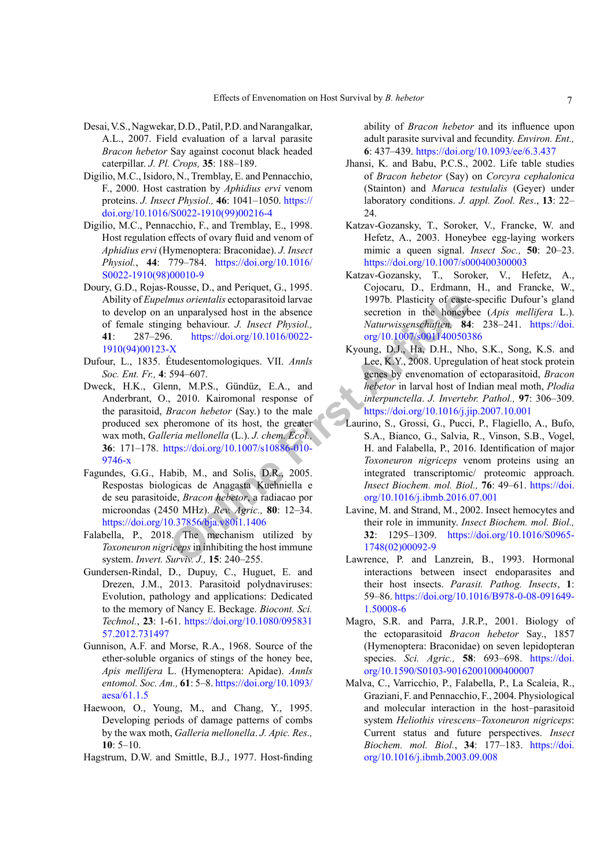- <span id="page-6-10"></span>Desai, V.S., Nagwekar, D.D., Patil, P.D. and Narangalkar, A.L., 2007. Field evaluation of a larval parasite *Bracon hebetor* Say against coconut black headed caterpillar. *J. Pl. Crops,* **35**: 188–189.
- <span id="page-6-5"></span>Digilio, M.C., Isidoro, N., Tremblay, E. and Pennacchio, F., 2000. Host castration by *Aphidius ervi* venom proteins. *J. Insect Physiol.,* **46**: 1041–1050. [https://](https://doi.org/10.1016/S0022-1910(99)00216-4) [doi.org/10.1016/S0022-1910\(99\)00216-4](https://doi.org/10.1016/S0022-1910(99)00216-4)
- <span id="page-6-14"></span>Digilio, M.C., Pennacchio, F., and Tremblay, E., 1998. Host regulation effects of ovary fluid and venom of *Aphidius ervi* (Hymenoptera: Braconidae). *J. Insect Physiol.*, **44**: 779–784. [https://doi.org/10.1016/](https://doi.org/10.1016/S0022-1910(98)00010-9) [S0022-1910\(98\)00010-9](https://doi.org/10.1016/S0022-1910(98)00010-9)
- <span id="page-6-19"></span>Doury, G.D., Rojas-Rousse, D., and Periquet, G., 1995. Ability of *Eupelmus orientalis* ectoparasitoid larvae to develop on an unparalysed host in the absence of female stinging behaviour. *J. Insect Physiol.,* **41**: 287–296. https://doi.org/10.1016/0022- [1910\(94\)00123-X](https://doi.org/10.1016/0022-1910(94)00123-X)
- <span id="page-6-16"></span>Dufour, L., 1835. Étudesentomologiques. VII. *Annls Soc. Ent. Fr.,* **4**: 594–607.
- mus orientalis ectoparasitoid larvae and the secretion in the honey<br>
implementalis ectoparasitoid larvae secretion in the honey<br>
S.<br>
S. https://doi.org/10.1016/0022-<br>
S.<br>
S. Https://doi.org/10.1016/0022-<br>
S. Https://doi.or Dweck, H.K., Glenn, M.P.S., Gündüz, E.A., and Anderbrant, O., 2010. Kairomonal response of the parasitoid, *Bracon hebetor* (Say.) to the male produced sex pheromone of its host, the greater wax moth, *Galleria mellonella* (L.). *J. chem. Ecol.,* **36**: 171–178. https://doi.org/10.1007/s10886-010- [9746-x](https://doi.org/10.1007/s10886-010-9746-x)
- <span id="page-6-9"></span>Fagundes, G.G., Habib, M., and Solis, D.R., 2005. Respostas biologicas de Anagasta Kuehniella e de seu parasitoide, *Bracon hebetor*, a radiacao por microondas (2450 MHz). *Rev. Agric.,* **80**: 12–34. <https://doi.org/10.37856/bja.v80i1.1406>
- <span id="page-6-2"></span>Falabella, P., 2018. The mechanism utilized by *Toxoneuron nigriceps* in inhibiting the host immune system. *Invert. Surviv. J.,* **15**: 240–255.
- <span id="page-6-4"></span>Gundersen-Rindal, D., Dupuy, C., Huguet, E. and Drezen, J.M., 2013. Parasitoid polydnaviruses: Evolution, pathology and applications: Dedicated to the memory of Nancy E. Beckage. *Biocont. Sci. Technol.*, **23**: 1-61. [https://doi.org/10.1080/095831](https://doi.org/10.1080/09583157.2012.731497) [57.2012.731497](https://doi.org/10.1080/09583157.2012.731497)
- <span id="page-6-15"></span>Gunnison, A.F. and Morse, R.A., 1968. Source of the ether-soluble organics of stings of the honey bee, *Apis mellifera* L. (Hymenoptera: Apidae). *Annls entomol. Soc. Am.,* **61**: 5–8. [https://doi.org/10.1093/](https://doi.org/10.1093/aesa/61.1.5) [aesa/61.1.5](https://doi.org/10.1093/aesa/61.1.5)
- <span id="page-6-13"></span>Haewoon, O., Young, M., and Chang, Y., 1995. Developing periods of damage patterns of combs by the wax moth, *Galleria mellonella*. *J. Apic. Res.,* **10**: 5–10.
- <span id="page-6-12"></span>Hagstrum, D.W. and Smittle, B.J., 1977. Host-finding

ability of *Bracon hebetor* and its influence upon adult parasite survival and fecundity. *Environ. Ent.,* **6**: 437–439.<https://doi.org/10.1093/ee/6.3.437>

- <span id="page-6-8"></span>Jhansi, K. and Babu, P.C.S., 2002. Life table studies of *Bracon hebetor* (Say) on *Corcyra cephalonica*  (Stainton) and *Maruca testulalis* (Geyer) under laboratory conditions. *J. appl. Zool. Res*., **13**: 22– 24.
- <span id="page-6-18"></span>Katzav-Gozansky, T., Soroker, V., Francke, W. and Hefetz, A., 2003. Honeybee egg-laying workers mimic a queen signal. *Insect Soc.,* **50**: 20–23. <https://doi.org/10.1007/s000400300003>
- <span id="page-6-17"></span>Katzav-Gozansky, T., Soroker, V., Hefetz, A., Cojocaru, D., Erdmann, H., and Francke, W., 1997b. Plasticity of caste-specific Dufour's gland secretion in the honeybee (*Apis mellifera* L.). *Naturwissenschaften,* **84**: 238–241. [https://doi.](https://doi.org/10.1007/s001140050386) org/10.1007/s001140050386
- <span id="page-6-11"></span>Kyoung, D.J., Ha, D.H., Nho, S.K., Song, K.S. and Lee, K.Y., 2008. Upregulation of heat stock protein genes by envenomation of ectoparasitoid, *Bracon hebetor* in larval host of Indian meal moth, *Plodia interpunctella*. *J. Invertebr. Pathol.,* **97**: 306–309. <https://doi.org/10.1016/j.jip.2007.10.001>
- <span id="page-6-7"></span><span id="page-6-6"></span><span id="page-6-3"></span><span id="page-6-1"></span><span id="page-6-0"></span>Laurino, S., Grossi, G., Pucci, P., Flagiello, A., Bufo, S.A., Bianco, G., Salvia, R., Vinson, S.B., Vogel, H. and Falabella, P., 2016. Identification of major *Toxoneuron nigriceps* venom proteins using an integrated transcriptomic/ proteomic approach. *Insect Biochem. mol. Biol.,* **76**: 49–61. [https://doi.](https://doi.org/10.1016/j.ibmb.2016.07.001) org/10.1016/j.ibmb.2016.07.001
	- Lavine, M. and Strand, M., 2002. Insect hemocytes and their role in immunity. *Insect Biochem. mol. Biol.,*  **32**: 1295–1309. [https://doi.org/10.1016/S0965-](https://doi.org/10.1016/S0965-1748(02)00092-9) 1748(02)00092-9
	- Lawrence, P. and Lanzrein, B., 1993. Hormonal interactions between insect endoparasites and their host insects. *Parasit. Pathog. Insects*, **1**: 59–86. [https://doi.org/10.1016/B978-0-08-091649-](https://doi.org/10.1016/B978-0-08-091649-1.50008-6) [1.50008-6](https://doi.org/10.1016/B978-0-08-091649-1.50008-6)
	- Magro, S.R. and Parra, J.R.P., 2001. Biology of the ectoparasitoid *Bracon hebetor* Say., 1857 (Hymenoptera: Braconidae) on seven lepidopteran species. *Sci. Agric.,* **58**: 693–698. [https://doi.](https://doi.org/10.1590/S0103-90162001000400007) [org/10.1590/S0103-90162001000400007](https://doi.org/10.1590/S0103-90162001000400007)
	- Malva, C., Varricchio, P., Falabella, P., La Scaleia, R., Graziani, F. and Pennacchio, F., 2004. Physiological and molecular interaction in the host–parasitoid system *Heliothis virescens*–*Toxoneuron nigriceps*: Current status and future perspectives. *Insect Biochem. mol. Biol.*, **34**: 177–183. [https://doi.](https://doi.org/10.1016/j.ibmb.2003.09.008) [org/10.1016/j.ibmb.2003.09.008](https://doi.org/10.1016/j.ibmb.2003.09.008)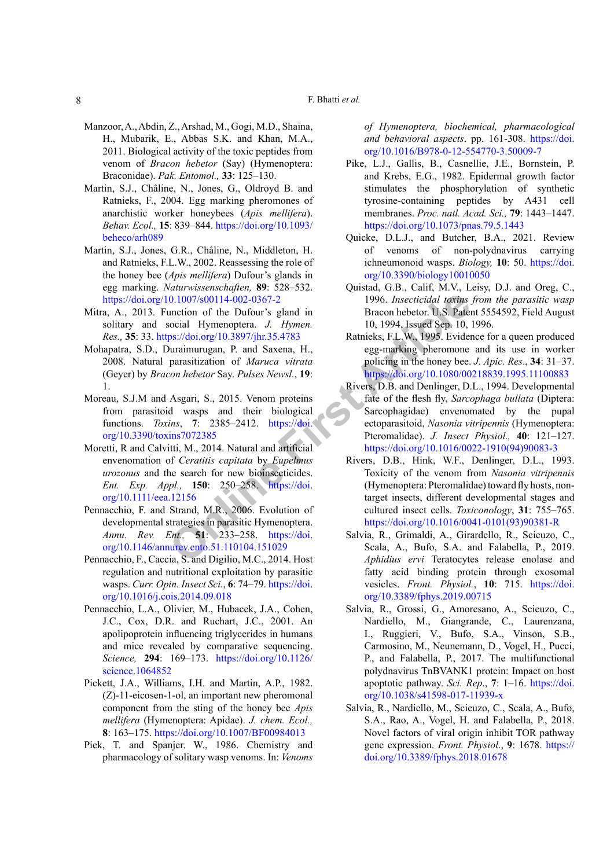#### F. Bhatti *et al.*

- <span id="page-7-13"></span>Manzoor, A., Abdin, Z., Arshad, M., Gogi, M.D., Shaina, H., Mubarik, E., Abbas S.K. and Khan, M.A., 2011. Biological activity of the toxic peptides from venom of *Bracon hebetor* (Say) (Hymenoptera: Braconidae). *Pak. Entomol.,* **33**: 125–130.
- Martin, S.J., Châline, N., Jones, G., Oldroyd B. and Ratnieks, F., 2004. Egg marking pheromones of anarchistic worker honeybees (*Apis mellifera*). *Behav. Ecol.,* **15**: 839–844. [https://doi.org/10.1093/](https://doi.org/10.1093/beheco/arh089) [beheco/arh089](https://doi.org/10.1093/beheco/arh089)
- Martin, S.J., Jones, G.R., Châline, N., Middleton, H. and Ratnieks, F.L.W., 2002. Reassessing the role of the honey bee (*Apis mellifera*) Dufour's glands in egg marking. *Naturwissenschaften,* **89**: 528–532. <https://doi.org/10.1007/s00114-002-0367-2>
- <span id="page-7-17"></span>Mitra, A., 2013. Function of the Dufour's gland in solitary and social Hymenoptera. *J. Hymen. Res.,* **35**: 33. https://doi.org/10.3897/jhr.35.4783
- <span id="page-7-12"></span>Mohapatra, S.D., Duraimurugan, P. and Saxena, H., 2008. Natural parasitization of *Maruca vitrata*  (Geyer) by *Bracon hebetor* Say. *Pulses Newsl.*, **19**: 1.
- <span id="page-7-2"></span>Moreau, S.J.M and Asgari, S., 2015. Venom proteins from parasitoid wasps and their biological functions. *Toxins*, **7**: 2385–2412. https://doi. [org/10.3390/toxins7072385](https://doi.org/10.3390/toxins7072385)
- <span id="page-7-15"></span>Moretti, R and Calvitti, M., 2014. Natural and artificial envenomation of *Ceratitis capitata* by *Eupelmus urozonus* and the search for new bioinsecticides. *Ent. Exp. Appl.,* **150**: 250–258. https://doi. [org/10.1111/eea.12156](https://doi.org/10.1111/eea.12156)
- <span id="page-7-3"></span>Pennacchio, F. and Strand, M.R., 2006. Evolution of developmental strategies in parasitic Hymenoptera. *Annu. Rev. Ent.,* **51**: 233–258. https://doi. [org/10.1146/annurev.ento.51.110104.151029](https://doi.org/10.1146/annurev.ento.51.110104.151029)
- <span id="page-7-0"></span>Pennacchio, F., Caccia, S. and Digilio, M.C., 2014. Host regulation and nutritional exploitation by parasitic wasps. *Curr. Opin. Insect Sci.*, **6**: 74–79. [https://doi.](https://doi.org/10.1016/j.cois.2014.09.018) [org/10.1016/j.cois.2014.09.018](https://doi.org/10.1016/j.cois.2014.09.018)
- <span id="page-7-1"></span>Pennacchio, L.A., Olivier, M., Hubacek, J.A., Cohen, J.C., Cox, D.R. and Ruchart, J.C., 2001. An apolipoprotein influencing triglycerides in humans and mice revealed by comparative sequencing. *Science,* **294**: 169–173. [https://doi.org/10.1126/](https://doi.org/10.1126/science.1064852) [science.1064852](https://doi.org/10.1126/science.1064852)
- <span id="page-7-16"></span><span id="page-7-5"></span>Pickett, J.A., Williams, I.H. and Martin, A.P., 1982. (Z)-11-eicosen-1-ol, an important new pheromonal component from the sting of the honey bee *Apis mellifera* (Hymenoptera: Apidae). *J. chem. Ecol.,* **8**: 163–175. <https://doi.org/10.1007/BF00984013>
- <span id="page-7-9"></span>Piek, T. and Spanjer. W., 1986. Chemistry and pharmacology of solitary wasp venoms. In: *Venoms*

*of Hymenoptera, biochemical, pharmacological and behavioral aspects*. pp. 161-308. [https://doi.](https://doi.org/10.1016/B978-0-12-554770-3.50009-7) [org/10.1016/B978-0-12-554770-3.50009-7](https://doi.org/10.1016/B978-0-12-554770-3.50009-7)

- <span id="page-7-8"></span>Pike, L.J., Gallis, B., Casnellie, J.E., Bornstein, P. and Krebs, E.G., 1982. Epidermal growth factor stimulates the phosphorylation of synthetic tyrosine-containing peptides by A431 cell membranes. *Proc. natl. Acad. Sci.,* **79**: 1443–1447. <https://doi.org/10.1073/pnas.79.5.1443>
- <span id="page-7-6"></span>Quicke, D.L.J., and Butcher, B.A., 2021. Review of venoms of non-polydnavirus carrying ichneumonoid wasps. *Biology,* **10**: 50. [https://doi.](https://doi.org/10.3390/biology10010050) [org/10.3390/biology10010050](https://doi.org/10.3390/biology10010050)
- <span id="page-7-14"></span>Quistad, G.B., Calif, M.V., Leisy, D.J. and Oreg, C., 1996. *Insecticidal toxins from the parasitic wasp* Bracon hebetor. U.S. Patent 5554592, Field August 10, 1994, Issued Sep. 10, 1996.
- <span id="page-7-18"></span><span id="page-7-11"></span><span id="page-7-10"></span><span id="page-7-7"></span><span id="page-7-4"></span>Ratnieks, F.L.W., 1995. Evidence for a queen produced egg-marking pheromone and its use in worker policing in the honey bee. *J. Apic. Res*., **34**: 31–37. <https://doi.org/10.1080/00218839.1995.11100883>
- 0.1007/s00114-002-0367-2<br>
unction of th[e](https://doi.org/10.1111/eea.12156) Dufour's gland in<br>
straceon hebetor. U.S. Pater<br>
occial Hymenoptera. J. Hymen. 10, 1994, Issued Sep. 10,<br>
0. Taximics Articles, FL.W., 1995. Evidence<br>
parasitization of *Maruca vitr* Rivers, D.B. and Denlinger, D.L., 1994. Developmental fate of the flesh fly, *Sarcophaga bullata* (Diptera: Sarcophagidae) envenomated by the pupal ectoparasitoid, *Nasonia vitripennis* (Hymenoptera: Pteromalidae). *J. Insect Physiol.,* **40**: 121–127. [https://doi.org/10.1016/0022-1910\(94\)90083-3](https://doi.org/10.1016/0022-1910(94)90083-3)
	- Rivers, D.B., Hink, W.F., Denlinger, D.L., 1993. Toxicity of the venom from *Nasonia vitripennis*  (Hymenoptera: Pteromalidae) toward fly hosts, nontarget insects, different developmental stages and cultured insect cells. *Toxiconology*, **31**: 755–765. [https://doi.org/10.1016/0041-0101\(93\)90381-R](https://doi.org/10.1016/0041-0101(93)90381-R)
	- Salvia, R., Grimaldi, A., Girardello, R., Scieuzo, C., Scala, A., Bufo, S.A. and Falabella, P., 2019. *Aphidius ervi* Teratocytes release enolase and fatty acid binding protein through exosomal vesicles. *Front. Physiol.*, **10**: 715. [https://doi.](https://doi.org/10.3389/fphys.2019.00715) [org/10.3389/fphys.2019.00715](https://doi.org/10.3389/fphys.2019.00715)
	- Salvia, R., Grossi, G., Amoresano, A., Scieuzo, C., Nardiello, M., Giangrande, C., Laurenzana, I., Ruggieri, V., Bufo, S.A., Vinson, S.B., Carmosino, M., Neunemann, D., Vogel, H., Pucci, P., and Falabella, P., 2017. The multifunctional polydnavirus TnBVANK1 protein: Impact on host apoptotic pathway. *Sci. Rep*., **7**: 1–16. [https://doi.](https://doi.org/10.1038/s41598-017-11939-x) [org/10.1038/s41598-017-11939-x](https://doi.org/10.1038/s41598-017-11939-x)
	- Salvia, R., Nardiello, M., Scieuzo, C., Scala, A., Bufo, S.A., Rao, A., Vogel, H. and Falabella, P., 2018. Novel factors of viral origin inhibit TOR pathway gene expression. *Front. Physiol*., **9**: 1678. [https://](https://doi.org/10.3389/fphys.2018.01678) [doi.org/10.3389/fphys.2018.01678](https://doi.org/10.3389/fphys.2018.01678)